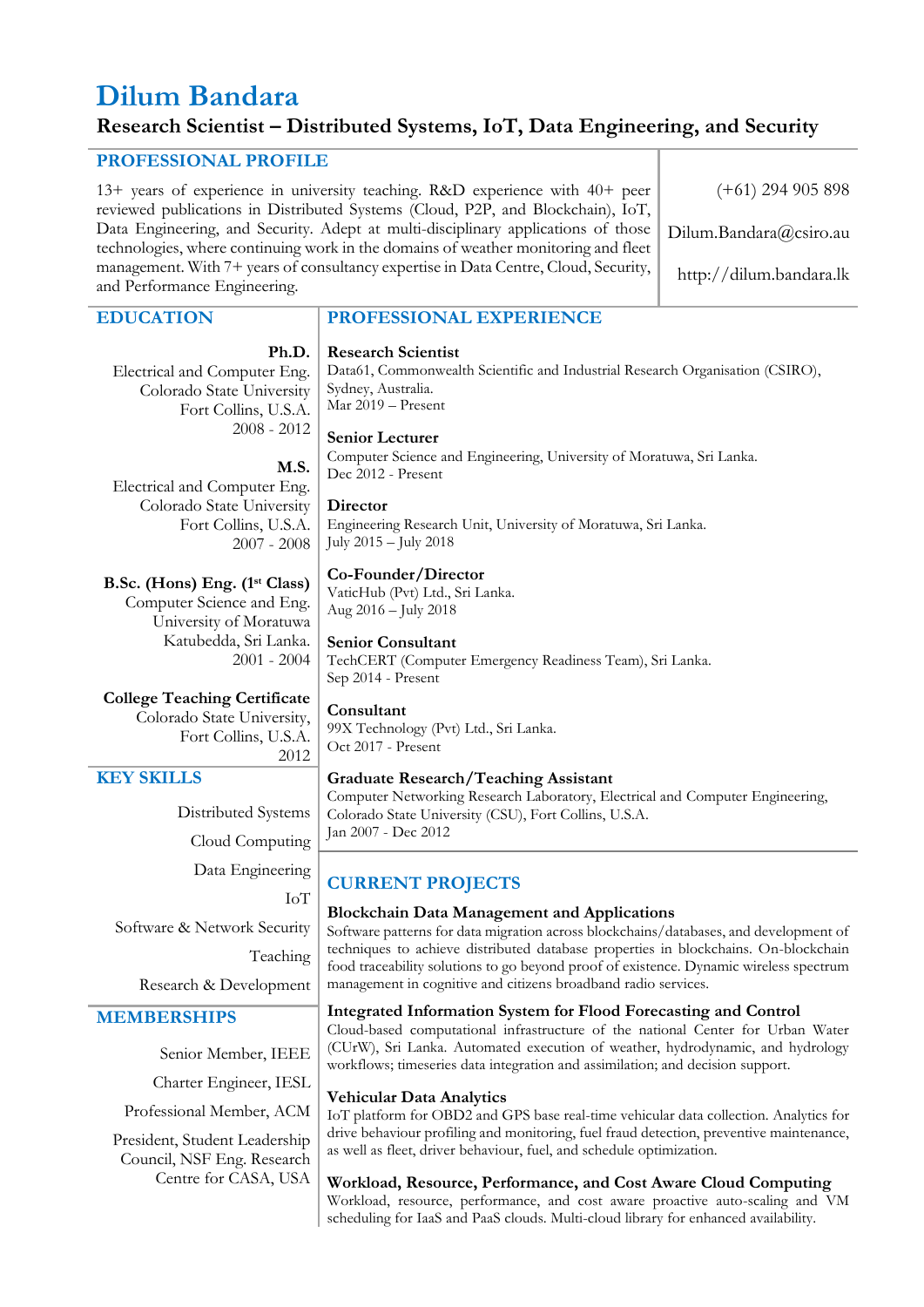# **Dilum Bandara**

# **Research Scientist – Distributed Systems, IoT, Data Engineering, and Security**

## **PROFESSIONAL PROFILE**

13+ years of experience in university teaching. R&D experience with 40+ peer reviewed publications in Distributed Systems (Cloud, P2P, and Blockchain), IoT, Data Engineering, and Security. Adept at multi-disciplinary applications of those technologies, where continuing work in the domains of weather monitoring and fleet management. With 7+ years of consultancy expertise in Data Centre, Cloud, Security, and Performance Engineering.

#### (+61) 294 905 898

Dilum.Bandara@csiro.au

http://dilum.bandara.lk

#### **EDUCATION**

#### **Ph.D.**

**M.S.**

2007 - 2008

2001 - 2004

Electrical and Computer Eng. Colorado State University Fort Collins, U.S.A. 2008 - 2012

Electrical and Computer Eng. Colorado State University Fort Collins, U.S.A.

**B.Sc. (Hons) Eng. (1 st Class)** Computer Science and Eng. University of Moratuwa Katubedda, Sri Lanka.

**PROFESSIONAL EXPERIENCE** 

**Research Scientist** Data61, Commonwealth Scientific and Industrial Research Organisation (CSIRO), Sydney, Australia. Mar 2019 – Present

# **Senior Lecturer**

Computer Science and Engineering, University of Moratuwa, Sri Lanka. Dec 2012 - Present

#### **Director**

Engineering Research Unit, University of Moratuwa, Sri Lanka. July 2015 – July 2018

#### **Co-Founder/Director**

VaticHub (Pvt) Ltd., Sri Lanka. Aug 2016 – July 2018

#### **Senior Consultant**

TechCERT (Computer Emergency Readiness Team), Sri Lanka. Sep 2014 - Present

# **College Teaching Certificate**

Colorado State University, Fort Collins, U.S.A. 2012

### **KEY SKILLS**

Distributed Systems Cloud Computing Data Engineering IoT

Software & Network Security Teaching

Research & Development

#### **MEMBERSHIPS**

Senior Member, IEEE

Centre for CASA, USA

Charter Engineer, IESL Professional Member, ACM

President, Student Leadership Council, NSF Eng. Research

#### **Consultant**

99X Technology (Pvt) Ltd., Sri Lanka. Oct 2017 - Present

#### **Graduate Research/Teaching Assistant**

Computer Networking Research Laboratory, Electrical and Computer Engineering, Colorado State University (CSU), Fort Collins, U.S.A. Jan 2007 - Dec 2012

# **CURRENT PROJECTS**

#### **Blockchain Data Management and Applications**

Software patterns for data migration across blockchains/databases, and development of techniques to achieve distributed database properties in blockchains. On-blockchain food traceability solutions to go beyond proof of existence. Dynamic wireless spectrum management in cognitive and citizens broadband radio services.

#### **Integrated Information System for Flood Forecasting and Control**

Cloud-based computational infrastructure of the national Center for Urban Water (CUrW), Sri Lanka. Automated execution of weather, hydrodynamic, and hydrology workflows; timeseries data integration and assimilation; and decision support.

#### **Vehicular Data Analytics**

IoT platform for OBD2 and GPS base real-time vehicular data collection. Analytics for drive behaviour profiling and monitoring, fuel fraud detection, preventive maintenance, as well as fleet, driver behaviour, fuel, and schedule optimization.

#### **Workload, Resource, Performance, and Cost Aware Cloud Computing**

Workload, resource, performance, and cost aware proactive auto-scaling and VM scheduling for IaaS and PaaS clouds. Multi-cloud library for enhanced availability.